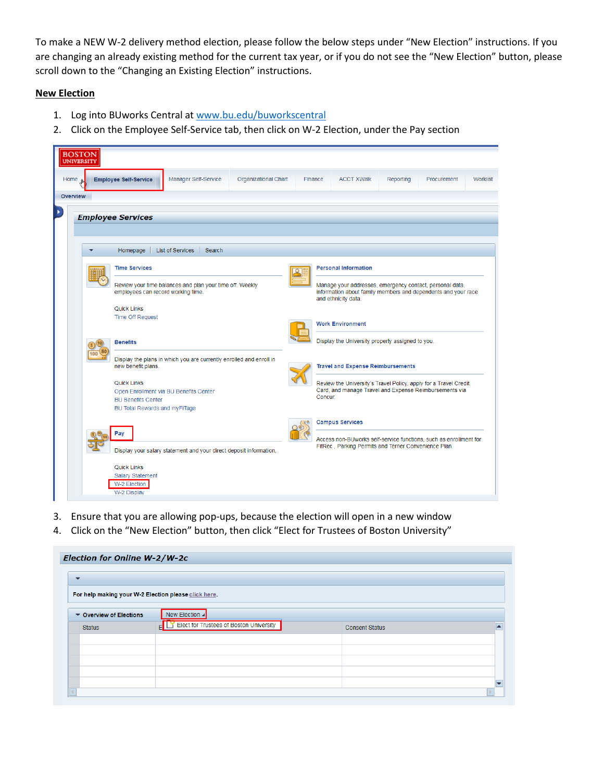To make a NEW W-2 delivery method election, please follow the below steps under "New Election" instructions. If you are changing an already existing method for the current tax year, or if you do not see the "New Election" button, please scroll down to the "Changing an Existing Election" instructions.

## **New Election**

- 1. Log into BUworks Central at [www.bu.edu/buworkscentral](http://www.bu.edu/buworkscentral)
- 2. Click on the Employee Self-Service tab, then click on W-2 Election, under the Pay section

| <b>BOSTON</b><br><b>UNIVERSIT</b> |                                                 |                                                                     |                      |         |         |                                                       |           |                                                                                                                            |          |
|-----------------------------------|-------------------------------------------------|---------------------------------------------------------------------|----------------------|---------|---------|-------------------------------------------------------|-----------|----------------------------------------------------------------------------------------------------------------------------|----------|
| Home                              | <b>Employee Self-Service</b>                    | Manager Self-Service                                                | Organizational Chart | Finance |         | <b>ACCT XWalk</b>                                     | Reporting | Procurement                                                                                                                | Worklist |
| <b>Overview</b>                   |                                                 |                                                                     |                      |         |         |                                                       |           |                                                                                                                            |          |
| ٠                                 | <b>Employee Services</b>                        |                                                                     |                      |         |         |                                                       |           |                                                                                                                            |          |
|                                   | Homepage                                        | List of Services<br>Search                                          |                      |         |         |                                                       |           |                                                                                                                            |          |
|                                   | <b>Time Services</b>                            |                                                                     |                      |         |         | <b>Personal Information</b>                           |           |                                                                                                                            |          |
|                                   | employees can record working time.              | Review your time balances and plan your time off. Weekly            |                      |         |         | and ethnicity data.                                   |           | Manage your addresses, emergency contact, personal data,<br>information about family members and dependents and your race  |          |
|                                   | <b>Quick Links</b><br><b>Time Off Request</b>   |                                                                     |                      |         |         |                                                       |           |                                                                                                                            |          |
|                                   |                                                 |                                                                     |                      |         |         | <b>Work Environment</b>                               |           |                                                                                                                            |          |
|                                   | <b>Benefits</b>                                 |                                                                     |                      |         |         | Display the University property assigned to you.      |           |                                                                                                                            |          |
|                                   | new benefit plans.                              | Display the plans in which you are currently enrolled and enroll in |                      |         |         | <b>Travel and Expense Reimbursements</b>              |           |                                                                                                                            |          |
|                                   | Quick Links                                     |                                                                     |                      |         |         |                                                       |           | Review the University's Travel Policy, apply for a Travel Credit<br>Card, and manage Travel and Expense Reimbursements via |          |
|                                   | <b>BU Benefits Center</b>                       | Open Enrollment via BU Benefits Center                              |                      |         | Concur. |                                                       |           |                                                                                                                            |          |
|                                   | BU Total Rewards and myFiTage                   |                                                                     |                      |         |         |                                                       |           |                                                                                                                            |          |
|                                   | Pay                                             |                                                                     |                      |         |         | <b>Campus Services</b>                                |           |                                                                                                                            |          |
|                                   |                                                 | Display your salary statement and your direct deposit information.  |                      |         |         | FitRec, Parking Permits and Terrier Convenience Plan. |           | Access non-BUworks self-service functions, such as enrollment for                                                          |          |
|                                   | Quick Links<br>Salary Statement<br>W-2 Election |                                                                     |                      |         |         |                                                       |           |                                                                                                                            |          |
|                                   | W-2 Display                                     |                                                                     |                      |         |         |                                                       |           |                                                                                                                            |          |

- 3. Ensure that you are allowing pop-ups, because the election will open in a new window
- 4. Click on the "New Election" button, then click "Elect for Trustees of Boston University"

| Election for Online W-2/W-2c                         |                                         |                       |  |
|------------------------------------------------------|-----------------------------------------|-----------------------|--|
| $\overline{\phantom{a}}$                             |                                         |                       |  |
| For help making your W-2 Election please click here. |                                         |                       |  |
| Cverview of Elections                                | New Election ⊿                          |                       |  |
| <b>Status</b>                                        | Elect for Trustees of Boston University | <b>Consent Status</b> |  |
|                                                      |                                         |                       |  |
|                                                      |                                         |                       |  |
|                                                      |                                         |                       |  |
|                                                      |                                         |                       |  |
|                                                      |                                         |                       |  |
|                                                      |                                         |                       |  |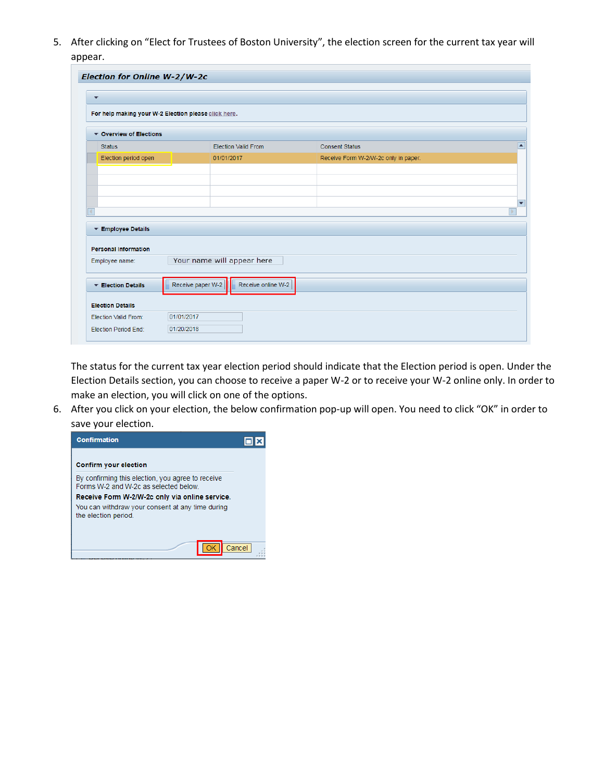5. After clicking on "Elect for Trustees of Boston University", the election screen for the current tax year will appear.

| Election for Online W-2/W-2c                         |                   |                            |                                      |   |
|------------------------------------------------------|-------------------|----------------------------|--------------------------------------|---|
| $\overline{\phantom{a}}$                             |                   |                            |                                      |   |
| For help making your W-2 Election please click here. |                   |                            |                                      |   |
| ▼ Overview of Elections                              |                   |                            |                                      |   |
| <b>Status</b>                                        |                   | <b>Election Valid From</b> | <b>Consent Status</b>                |   |
| Election period open                                 |                   | 01/01/2017                 | Receive Form W-2/W-2c only in paper. |   |
|                                                      |                   |                            |                                      |   |
|                                                      |                   |                            |                                      |   |
|                                                      |                   |                            |                                      |   |
| ×                                                    |                   |                            |                                      | ь |
|                                                      |                   |                            |                                      |   |
| Employee Details                                     |                   |                            |                                      |   |
| <b>Personal Information</b>                          |                   |                            |                                      |   |
| Employee name:                                       |                   | Your name will appear here |                                      |   |
|                                                      |                   |                            |                                      |   |
| ▼ Election Details                                   | Receive paper W-2 | Receive online W-2         |                                      |   |
|                                                      |                   |                            |                                      |   |
|                                                      |                   |                            |                                      |   |
| <b>Election Details</b>                              |                   |                            |                                      |   |
| Election Valid From:                                 | 01/01/2017        |                            |                                      |   |

The status for the current tax year election period should indicate that the Election period is open. Under the Election Details section, you can choose to receive a paper W-2 or to receive your W-2 online only. In order to make an election, you will click on one of the options.

6. After you click on your election, the below confirmation pop-up will open. You need to click "OK" in order to save your election.

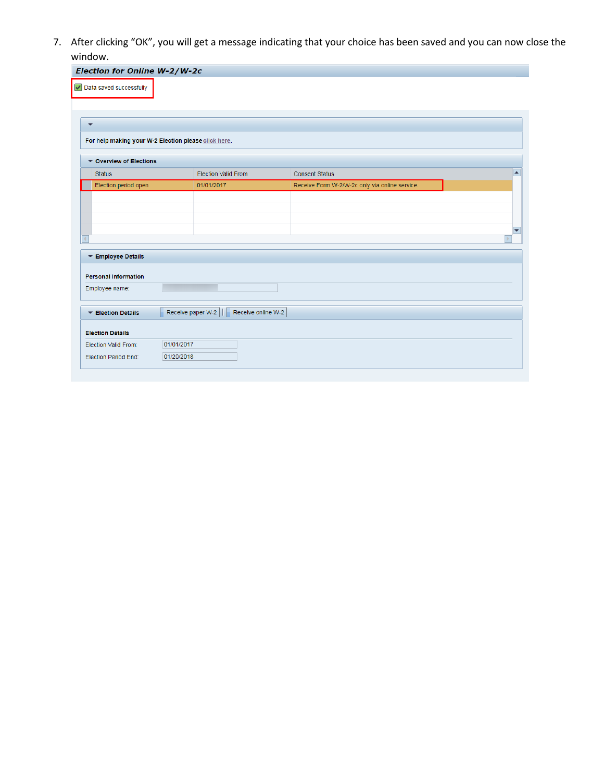7. After clicking "OK", you will get a message indicating that your choice has been saved and you can now close the window.

|                             | Election for Online W-2/W-2c                         |                                                |                          |
|-----------------------------|------------------------------------------------------|------------------------------------------------|--------------------------|
| Data saved successfully     |                                                      |                                                |                          |
| $\overline{\phantom{a}}$    |                                                      |                                                |                          |
|                             | For help making your W-2 Election please click here. |                                                |                          |
| Cverview of Elections       |                                                      |                                                |                          |
| <b>Status</b>               | <b>Election Valid From</b>                           | <b>Consent Status</b>                          | ◚                        |
| Election period open        | 01/01/2017                                           | Receive Form W-2/W-2c only via online service. |                          |
|                             |                                                      |                                                |                          |
|                             |                                                      |                                                |                          |
|                             |                                                      |                                                |                          |
|                             |                                                      |                                                |                          |
|                             |                                                      |                                                |                          |
| a                           |                                                      |                                                |                          |
| ▼ Employee Details          |                                                      |                                                |                          |
|                             |                                                      |                                                |                          |
| <b>Personal Information</b> |                                                      |                                                |                          |
| Employee name:              |                                                      |                                                | $\overline{\phantom{a}}$ |
|                             |                                                      |                                                |                          |
| Election Details            | Receive paper W-2 $  $<br>Receive online W-2         |                                                |                          |
| <b>Election Details</b>     |                                                      |                                                |                          |
| Election Valid From:        | 01/01/2017                                           |                                                |                          |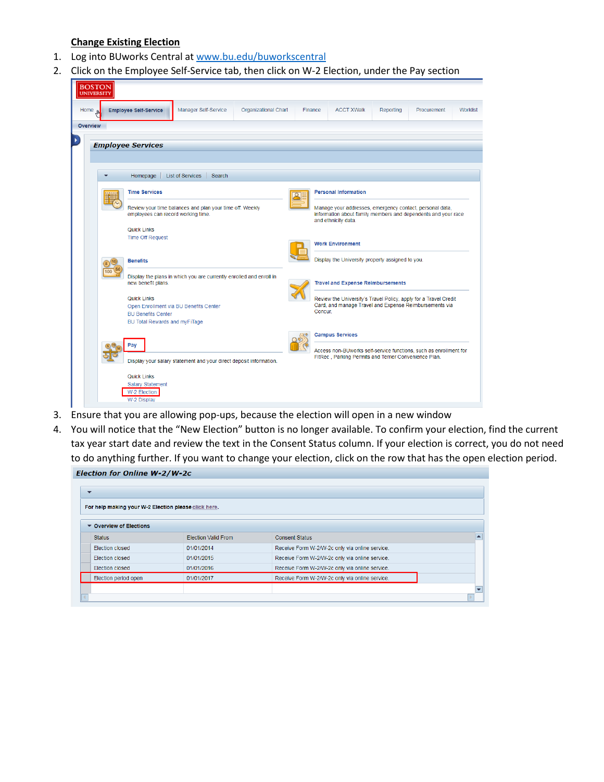## **Change Existing Election**

- 1. Log into BUworks Central at [www.bu.edu/buworkscentral](http://www.bu.edu/buworkscentral)
- 2. Click on the Employee Self-Service tab, then click on W-2 Election, under the Pay section

| <b>BOSTON</b><br><b>UNIVERSITY</b> |                                        |                                                                                                |                             |         |                                                                                                                                                  |                   |                                                       |                                                                                                                            |          |
|------------------------------------|----------------------------------------|------------------------------------------------------------------------------------------------|-----------------------------|---------|--------------------------------------------------------------------------------------------------------------------------------------------------|-------------------|-------------------------------------------------------|----------------------------------------------------------------------------------------------------------------------------|----------|
| Home <sub>Jh</sub>                 | <b>Employee Self-Service</b>           | Manager Self-Service                                                                           | <b>Organizational Chart</b> | Finance |                                                                                                                                                  | <b>ACCT XWalk</b> | Reporting                                             | Procurement                                                                                                                | Worklist |
| Overview                           |                                        |                                                                                                |                             |         |                                                                                                                                                  |                   |                                                       |                                                                                                                            |          |
|                                    | <b>Employee Services</b>               |                                                                                                |                             |         |                                                                                                                                                  |                   |                                                       |                                                                                                                            |          |
|                                    |                                        |                                                                                                |                             |         |                                                                                                                                                  |                   |                                                       |                                                                                                                            |          |
|                                    | Homepage                               | <b>List of Services</b><br>Search                                                              |                             |         |                                                                                                                                                  |                   |                                                       |                                                                                                                            |          |
|                                    | <b>Time Services</b>                   |                                                                                                |                             |         | <b>Personal Information</b>                                                                                                                      |                   |                                                       |                                                                                                                            |          |
|                                    |                                        | Review your time balances and plan your time off. Weekly<br>employees can record working time. |                             |         | Manage your addresses, emergency contact, personal data,<br>information about family members and dependents and your race<br>and ethnicity data. |                   |                                                       |                                                                                                                            |          |
|                                    | Quick Links<br><b>Time Off Request</b> |                                                                                                |                             |         |                                                                                                                                                  |                   |                                                       |                                                                                                                            |          |
|                                    |                                        |                                                                                                |                             |         | <b>Work Environment</b>                                                                                                                          |                   |                                                       |                                                                                                                            |          |
|                                    | <b>Benefits</b>                        | Display the plans in which you are currently enrolled and enroll in                            |                             |         | Display the University property assigned to you.<br><b>Travel and Expense Reimbursements</b>                                                     |                   |                                                       |                                                                                                                            |          |
|                                    | new benefit plans.                     |                                                                                                |                             |         |                                                                                                                                                  |                   |                                                       |                                                                                                                            |          |
|                                    | Quick Links                            |                                                                                                |                             |         |                                                                                                                                                  |                   |                                                       | Review the University's Travel Policy, apply for a Travel Credit<br>Card, and manage Travel and Expense Reimbursements via |          |
|                                    | <b>BU Benefits Center</b>              | Open Enrollment via BU Benefits Center                                                         |                             |         | Concur.                                                                                                                                          |                   |                                                       |                                                                                                                            |          |
|                                    | BU Total Rewards and myFiTage          |                                                                                                |                             |         |                                                                                                                                                  |                   |                                                       |                                                                                                                            |          |
|                                    | Pay                                    |                                                                                                |                             |         | <b>Campus Services</b>                                                                                                                           |                   |                                                       |                                                                                                                            |          |
|                                    |                                        | Display your salary statement and your direct deposit information.                             |                             |         |                                                                                                                                                  |                   | FitRec, Parking Permits and Terrier Convenience Plan. | Access non-BUworks self-service functions, such as enrollment for                                                          |          |
|                                    | Quick Links<br><b>Salary Statement</b> |                                                                                                |                             |         |                                                                                                                                                  |                   |                                                       |                                                                                                                            |          |
|                                    | W-2 Election<br>W-2 Display            |                                                                                                |                             |         |                                                                                                                                                  |                   |                                                       |                                                                                                                            |          |

- 3. Ensure that you are allowing pop-ups, because the election will open in a new window
- 4. You will notice that the "New Election" button is no longer available. To confirm your election, find the current tax year start date and review the text in the Consent Status column. If your election is correct, you do not need to do anything further. If you want to change your election, click on the row that has the open election period.Election for Online W-2/W-2c

| $\overline{\phantom{a}}$                             |                            |                                                |  |
|------------------------------------------------------|----------------------------|------------------------------------------------|--|
| For help making your W-2 Election please click here. |                            |                                                |  |
| ▼ Overview of Elections                              |                            |                                                |  |
| <b>Status</b>                                        | <b>Election Valid From</b> | <b>Consent Status</b>                          |  |
| Election closed                                      | 01/01/2014                 | Receive Form W-2/W-2c only via online service. |  |
| Election closed                                      | 01/01/2015                 | Receive Form W-2/W-2c only via online service. |  |
| Election closed                                      | 01/01/2016                 | Receive Form W-2/W-2c only via online service. |  |
| Election period open                                 | 01/01/2017                 | Receive Form W-2/W-2c only via online service. |  |
|                                                      |                            |                                                |  |
|                                                      |                            |                                                |  |